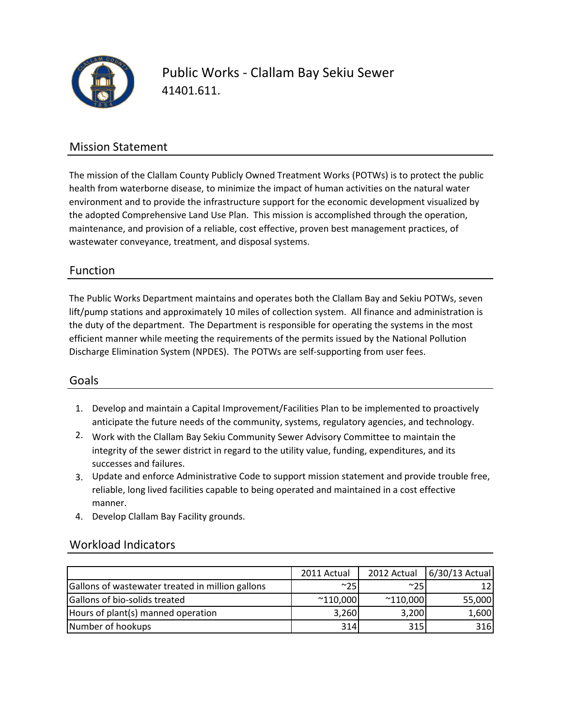

Public Works - Clallam Bay Sekiu Sewer 41401.611.

### Mission Statement

The mission of the Clallam County Publicly Owned Treatment Works (POTWs) is to protect the public health from waterborne disease, to minimize the impact of human activities on the natural water environment and to provide the infrastructure support for the economic development visualized by the adopted Comprehensive Land Use Plan. This mission is accomplished through the operation, maintenance, and provision of a reliable, cost effective, proven best management practices, of wastewater conveyance, treatment, and disposal systems.

### Function

The Public Works Department maintains and operates both the Clallam Bay and Sekiu POTWs, seven lift/pump stations and approximately 10 miles of collection system. All finance and administration is the duty of the department. The Department is responsible for operating the systems in the most efficient manner while meeting the requirements of the permits issued by the National Pollution Discharge Elimination System (NPDES). The POTWs are self-supporting from user fees.

#### Goals

- 1. Develop and maintain a Capital Improvement/Facilities Plan to be implemented to proactively anticipate the future needs of the community, systems, regulatory agencies, and technology.
- 2. Work with the Clallam Bay Sekiu Community Sewer Advisory Committee to maintain the integrity of the sewer district in regard to the utility value, funding, expenditures, and its successes and failures.
- 3. Update and enforce Administrative Code to support mission statement and provide trouble free, reliable, long lived facilities capable to being operated and maintained in a cost effective manner.
- 4. Develop Clallam Bay Facility grounds.

### Workload Indicators

|                                                  | 2011 Actual       | 2012 Actual       | 6/30/13 Actual |
|--------------------------------------------------|-------------------|-------------------|----------------|
| Gallons of wastewater treated in million gallons | $^{\sim}25$       | ~100              |                |
| Gallons of bio-solids treated                    | $^{\sim}$ 110,000 | $^{\sim}$ 110,000 | 55,000         |
| Hours of plant(s) manned operation               | 3,260             | 3,200             | 1,600          |
| Number of hookups                                | 314               | 315               | 316            |